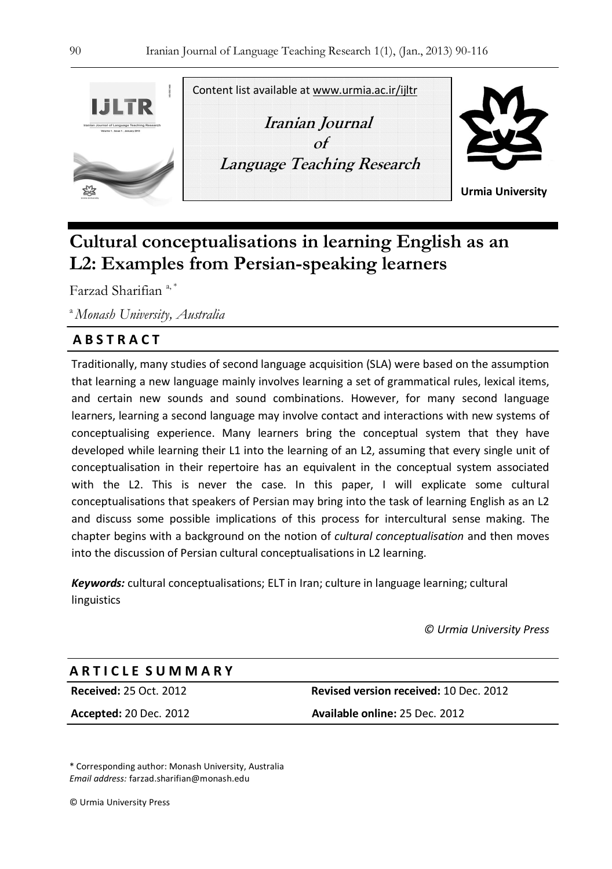

Content list available at www.urmia.ac.ir/ijltr

**Iranian Journal**   $\alpha$ **f Language Teaching Research** 



**Urmia University**

# **Cultural conceptualisations in learning English as an L2: Examples from Persian-speaking learners**

Farzad Sharifian<sup>a,\*</sup>

<sup>a</sup>*Monash University, Australia* 

# **A B S T R A C T**

Traditionally, many studies of second language acquisition (SLA) were based on the assumption that learning a new language mainly involves learning a set of grammatical rules, lexical items, and certain new sounds and sound combinations. However, for many second language learners, learning a second language may involve contact and interactions with new systems of conceptualising experience. Many learners bring the conceptual system that they have developed while learning their L1 into the learning of an L2, assuming that every single unit of conceptualisation in their repertoire has an equivalent in the conceptual system associated with the L2. This is never the case. In this paper, I will explicate some cultural conceptualisations that speakers of Persian may bring into the task of learning English as an L2 and discuss some possible implications of this process for intercultural sense making. The chapter begins with a background on the notion of *cultural conceptualisation* and then moves into the discussion of Persian cultural conceptualisations in L2 learning.

*Keywords:* cultural conceptualisations; ELT in Iran; culture in language learning; cultural linguistics

*© Urmia University Press* 

# **A R T I C L E S U M M A R Y**

**Received:** 25 Oct. 2012 **Revised version received:** 10 Dec. 2012 **Accepted:** 20 Dec. 2012 **Available online:** 25 Dec. 2012

\* Corresponding author: Monash University, Australia *Email address:* farzad.sharifian@monash.edu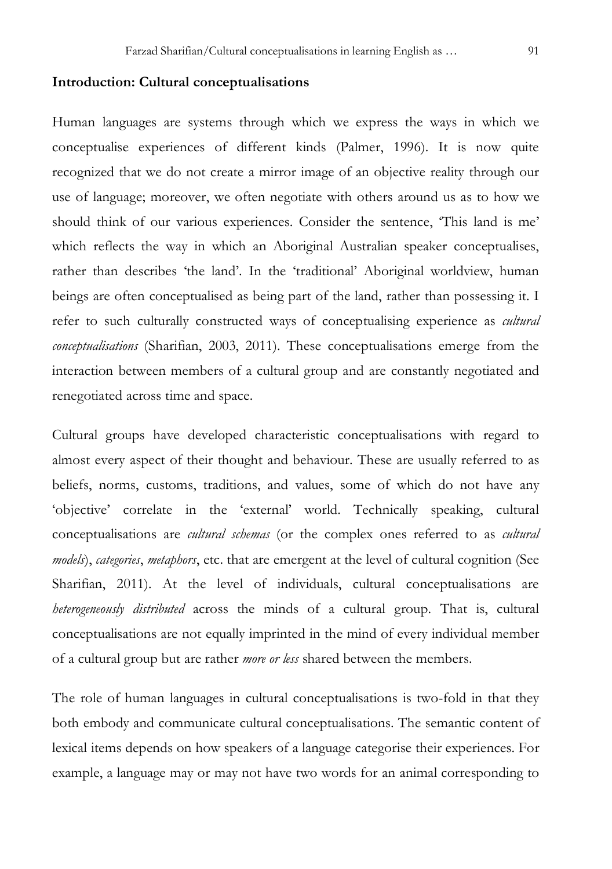# **Introduction: Cultural conceptualisations**

Human languages are systems through which we express the ways in which we conceptualise experiences of different kinds (Palmer, 1996). It is now quite recognized that we do not create a mirror image of an objective reality through our use of language; moreover, we often negotiate with others around us as to how we should think of our various experiences. Consider the sentence, 'This land is me' which reflects the way in which an Aboriginal Australian speaker conceptualises, rather than describes 'the land'. In the 'traditional' Aboriginal worldview, human beings are often conceptualised as being part of the land, rather than possessing it. I refer to such culturally constructed ways of conceptualising experience as *cultural conceptualisations* (Sharifian, 2003, 2011). These conceptualisations emerge from the interaction between members of a cultural group and are constantly negotiated and renegotiated across time and space.

Cultural groups have developed characteristic conceptualisations with regard to almost every aspect of their thought and behaviour. These are usually referred to as beliefs, norms, customs, traditions, and values, some of which do not have any 'objective' correlate in the 'external' world. Technically speaking, cultural conceptualisations are *cultural schemas* (or the complex ones referred to as *cultural models*), *categories*, *metaphors*, etc. that are emergent at the level of cultural cognition (See Sharifian, 2011). At the level of individuals, cultural conceptualisations are *heterogeneously distributed* across the minds of a cultural group. That is, cultural conceptualisations are not equally imprinted in the mind of every individual member of a cultural group but are rather *more or less* shared between the members.

The role of human languages in cultural conceptualisations is two-fold in that they both embody and communicate cultural conceptualisations. The semantic content of lexical items depends on how speakers of a language categorise their experiences. For example, a language may or may not have two words for an animal corresponding to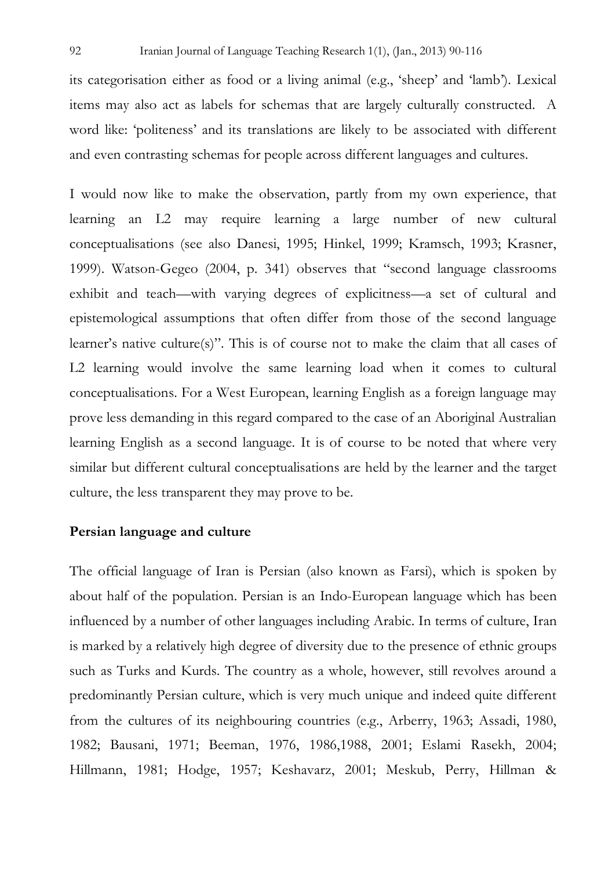its categorisation either as food or a living animal (e.g., 'sheep' and 'lamb'). Lexical items may also act as labels for schemas that are largely culturally constructed. A word like: 'politeness' and its translations are likely to be associated with different and even contrasting schemas for people across different languages and cultures.

I would now like to make the observation, partly from my own experience, that learning an L2 may require learning a large number of new cultural conceptualisations (see also Danesi, 1995; Hinkel, 1999; Kramsch, 1993; Krasner, 1999). Watson-Gegeo (2004, p. 341) observes that "second language classrooms exhibit and teach—with varying degrees of explicitness—a set of cultural and epistemological assumptions that often differ from those of the second language learner's native culture(s)". This is of course not to make the claim that all cases of L2 learning would involve the same learning load when it comes to cultural conceptualisations. For a West European, learning English as a foreign language may prove less demanding in this regard compared to the case of an Aboriginal Australian learning English as a second language. It is of course to be noted that where very similar but different cultural conceptualisations are held by the learner and the target culture, the less transparent they may prove to be.

# **Persian language and culture**

The official language of Iran is Persian (also known as Farsi), which is spoken by about half of the population. Persian is an Indo-European language which has been influenced by a number of other languages including Arabic. In terms of culture, Iran is marked by a relatively high degree of diversity due to the presence of ethnic groups such as Turks and Kurds. The country as a whole, however, still revolves around a predominantly Persian culture, which is very much unique and indeed quite different from the cultures of its neighbouring countries (e.g., Arberry, 1963; Assadi, 1980, 1982; Bausani, 1971; Beeman, 1976, 1986,1988, 2001; Eslami Rasekh, 2004; Hillmann, 1981; Hodge, 1957; Keshavarz, 2001; Meskub, Perry, Hillman &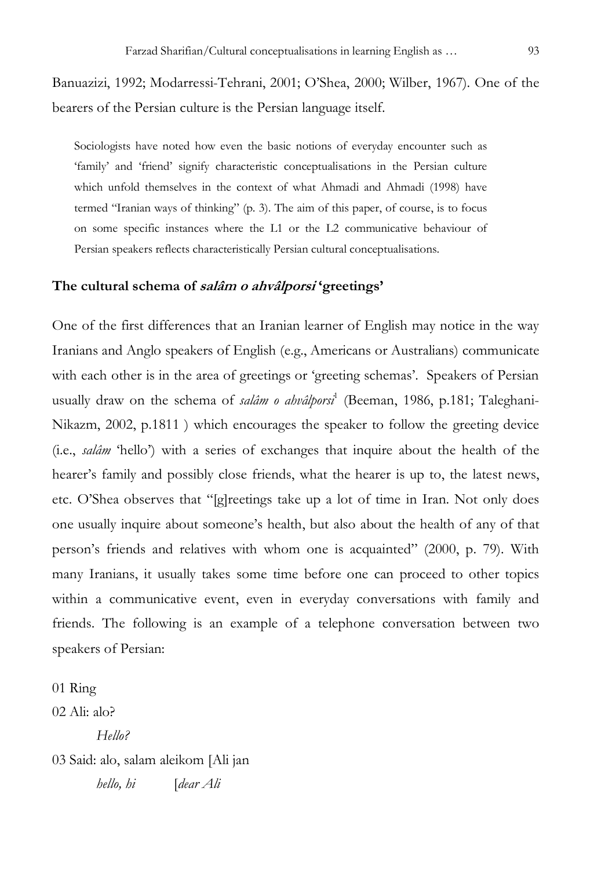Banuazizi, 1992; Modarressi-Tehrani, 2001; O'Shea, 2000; Wilber, 1967). One of the bearers of the Persian culture is the Persian language itself.

Sociologists have noted how even the basic notions of everyday encounter such as 'family' and 'friend' signify characteristic conceptualisations in the Persian culture which unfold themselves in the context of what Ahmadi and Ahmadi (1998) have termed "Iranian ways of thinking" (p. 3). The aim of this paper, of course, is to focus on some specific instances where the L1 or the L2 communicative behaviour of Persian speakers reflects characteristically Persian cultural conceptualisations.

#### **The cultural schema of salâm o ahvâlporsi 'greetings'**

One of the first differences that an Iranian learner of English may notice in the way Iranians and Anglo speakers of English (e.g., Americans or Australians) communicate with each other is in the area of greetings or 'greeting schemas'. Speakers of Persian usually draw on the schema of *salâm o ahvâlporsi*<sup>1</sup> (Beeman, 1986, p.181; Taleghani-Nikazm, 2002, p.1811 ) which encourages the speaker to follow the greeting device (i.e., *salâm* 'hello') with a series of exchanges that inquire about the health of the hearer's family and possibly close friends, what the hearer is up to, the latest news, etc. O'Shea observes that "[g]reetings take up a lot of time in Iran. Not only does one usually inquire about someone's health, but also about the health of any of that person's friends and relatives with whom one is acquainted" (2000, p. 79). With many Iranians, it usually takes some time before one can proceed to other topics within a communicative event, even in everyday conversations with family and friends. The following is an example of a telephone conversation between two speakers of Persian:

01 Ring 02 Ali: alo? *Hello?*  03 Said: alo, salam aleikom [Ali jan *hello, hi* [*dear Ali*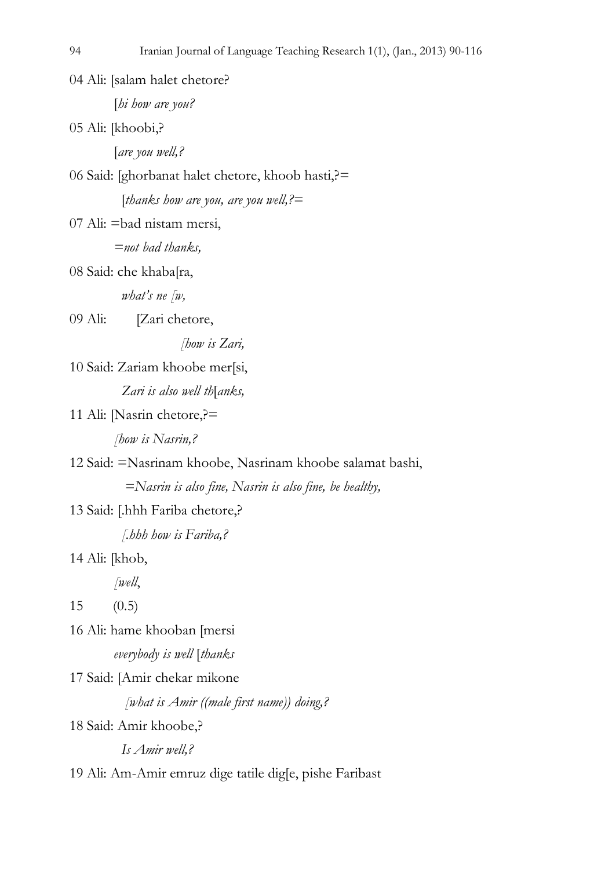04 Ali: [salam halet chetore?

[*hi how are you?* 

05 Ali: [khoobi,?

[*are you well,?* 

06 Said: [ghorbanat halet chetore, khoob hasti,?=

[*thanks how are you, are you well,?=* 

07 Ali: =bad nistam mersi,

*=not bad thanks,* 

08 Said: che khaba[ra,

 *what's ne [w,* 

09 Ali: [Zari chetore,

 *[how is Zari,* 

10 Said: Zariam khoobe mer[si, *Zari is also well th*[*anks,* 

```
11 Ali: [Nasrin chetore,?=
```
*[how is Nasrin,?* 

12 Said: =Nasrinam khoobe, Nasrinam khoobe salamat bashi,

 *=Nasrin is also fine, Nasrin is also fine, be healthy,* 

13 Said: [.hhh Fariba chetore,?

 *[.hhh how is Fariba,?* 

14 Ali: [khob,

*[well*,

15 (0.5)

16 Ali: hame khooban [mersi *everybody is well* [*thanks* 

17 Said: [Amir chekar mikone

 *[what is Amir ((male first name)) doing,?* 

18 Said: Amir khoobe,?

 *Is Amir well,?* 

19 Ali: Am-Amir emruz dige tatile dig[e, pishe Faribast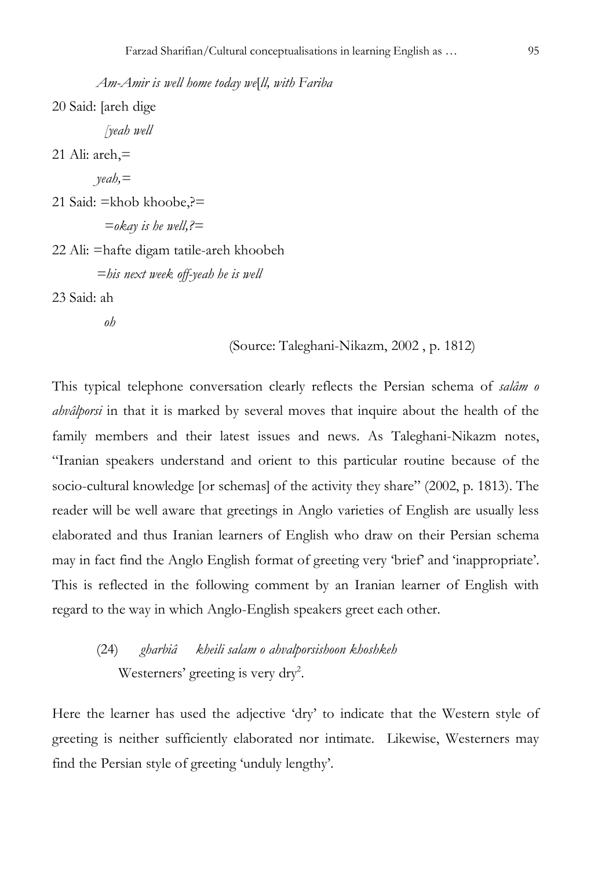*Am-Amir is well home today we*[*ll, with Fariba*  20 Said: [areh dige  *[yeah well*  21 Ali:  $areh$ , $=$ *yeah,=*  21 Said: =khob khoobe,?=  *=okay is he well,?=*  22 Ali: =hafte digam tatile-areh khoobeh *=his next week off-yeah he is well*  23 Said: ah

 *oh* 

(Source: Taleghani-Nikazm, 2002 , p. 1812)

This typical telephone conversation clearly reflects the Persian schema of *salâm o ahvâlporsi* in that it is marked by several moves that inquire about the health of the family members and their latest issues and news. As Taleghani-Nikazm notes, "Iranian speakers understand and orient to this particular routine because of the socio-cultural knowledge [or schemas] of the activity they share" (2002, p. 1813). The reader will be well aware that greetings in Anglo varieties of English are usually less elaborated and thus Iranian learners of English who draw on their Persian schema may in fact find the Anglo English format of greeting very 'brief' and 'inappropriate'. This is reflected in the following comment by an Iranian learner of English with regard to the way in which Anglo-English speakers greet each other.

(24) *gharbiâ kheili salam o ahvalporsishoon khoshkeh*  Westerners' greeting is very dry<sup>2</sup>.

Here the learner has used the adjective 'dry' to indicate that the Western style of greeting is neither sufficiently elaborated nor intimate. Likewise, Westerners may find the Persian style of greeting 'unduly lengthy'.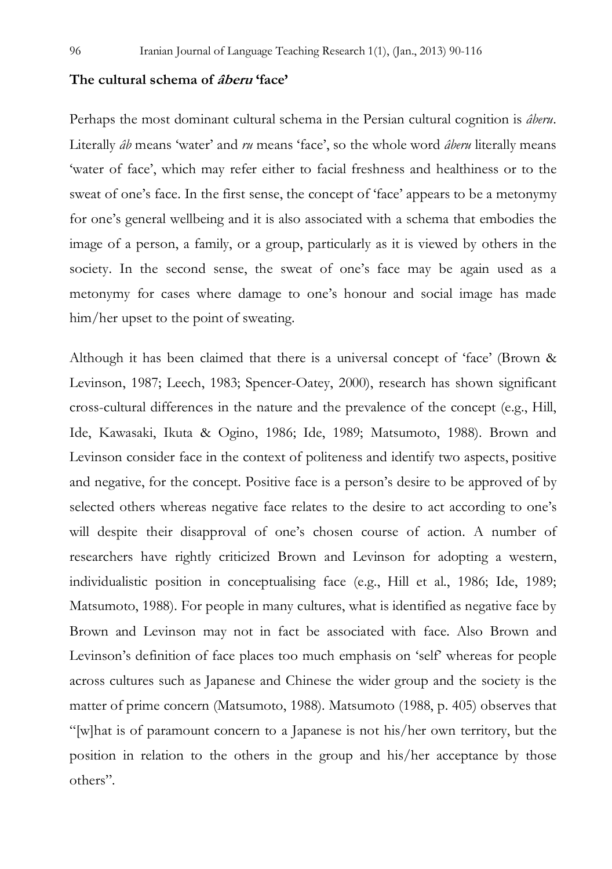### **The cultural schema of âberu 'face'**

Perhaps the most dominant cultural schema in the Persian cultural cognition is *âberu*. Literally *âb* means 'water' and *ru* means 'face', so the whole word *âberu* literally means 'water of face', which may refer either to facial freshness and healthiness or to the sweat of one's face. In the first sense, the concept of 'face' appears to be a metonymy for one's general wellbeing and it is also associated with a schema that embodies the image of a person, a family, or a group, particularly as it is viewed by others in the society. In the second sense, the sweat of one's face may be again used as a metonymy for cases where damage to one's honour and social image has made him/her upset to the point of sweating.

Although it has been claimed that there is a universal concept of 'face' (Brown & Levinson, 1987; Leech, 1983; Spencer-Oatey, 2000), research has shown significant cross-cultural differences in the nature and the prevalence of the concept (e.g., Hill, Ide, Kawasaki, Ikuta & Ogino, 1986; Ide, 1989; Matsumoto, 1988). Brown and Levinson consider face in the context of politeness and identify two aspects, positive and negative, for the concept. Positive face is a person's desire to be approved of by selected others whereas negative face relates to the desire to act according to one's will despite their disapproval of one's chosen course of action. A number of researchers have rightly criticized Brown and Levinson for adopting a western, individualistic position in conceptualising face (e.g., Hill et al., 1986; Ide, 1989; Matsumoto, 1988). For people in many cultures, what is identified as negative face by Brown and Levinson may not in fact be associated with face. Also Brown and Levinson's definition of face places too much emphasis on 'self' whereas for people across cultures such as Japanese and Chinese the wider group and the society is the matter of prime concern (Matsumoto, 1988). Matsumoto (1988, p. 405) observes that "[w]hat is of paramount concern to a Japanese is not his/her own territory, but the position in relation to the others in the group and his/her acceptance by those others".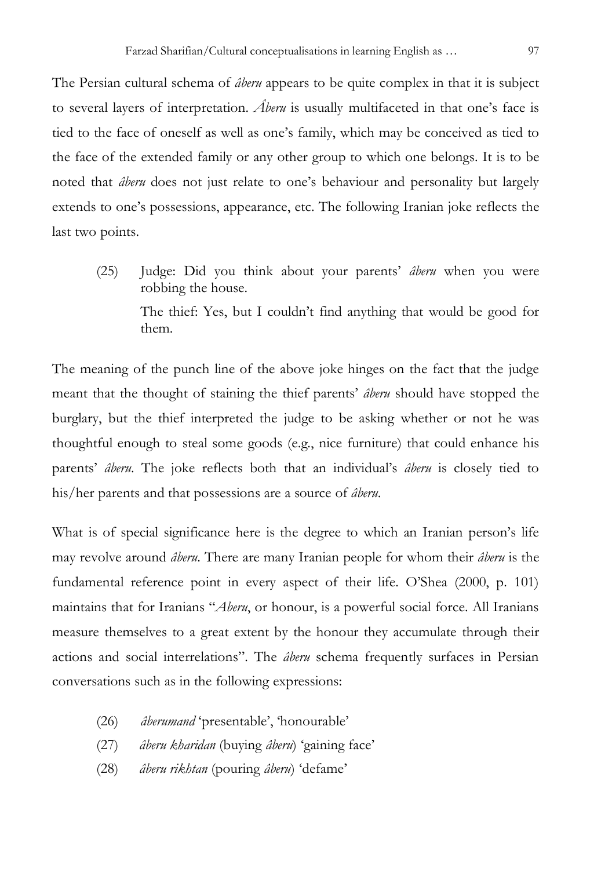The Persian cultural schema of *âberu* appears to be quite complex in that it is subject to several layers of interpretation. *Âberu* is usually multifaceted in that one's face is tied to the face of oneself as well as one's family, which may be conceived as tied to the face of the extended family or any other group to which one belongs. It is to be noted that *âberu* does not just relate to one's behaviour and personality but largely extends to one's possessions, appearance, etc. The following Iranian joke reflects the last two points.

(25) Judge: Did you think about your parents' *âberu* when you were robbing the house. The thief: Yes, but I couldn't find anything that would be good for them.

The meaning of the punch line of the above joke hinges on the fact that the judge meant that the thought of staining the thief parents' *âberu* should have stopped the burglary, but the thief interpreted the judge to be asking whether or not he was thoughtful enough to steal some goods (e.g., nice furniture) that could enhance his parents' *âberu*. The joke reflects both that an individual's *âberu* is closely tied to his/her parents and that possessions are a source of *âberu*.

What is of special significance here is the degree to which an Iranian person's life may revolve around *âberu*. There are many Iranian people for whom their *âberu* is the fundamental reference point in every aspect of their life. O'Shea (2000, p. 101) maintains that for Iranians "*Aberu*, or honour, is a powerful social force. All Iranians measure themselves to a great extent by the honour they accumulate through their actions and social interrelations". The *âberu* schema frequently surfaces in Persian conversations such as in the following expressions:

- (26) *âberumand* 'presentable', 'honourable'
- (27) *âberu kharidan* (buying *âberu*) 'gaining face'
- (28) *âberu rikhtan* (pouring *âberu*) 'defame'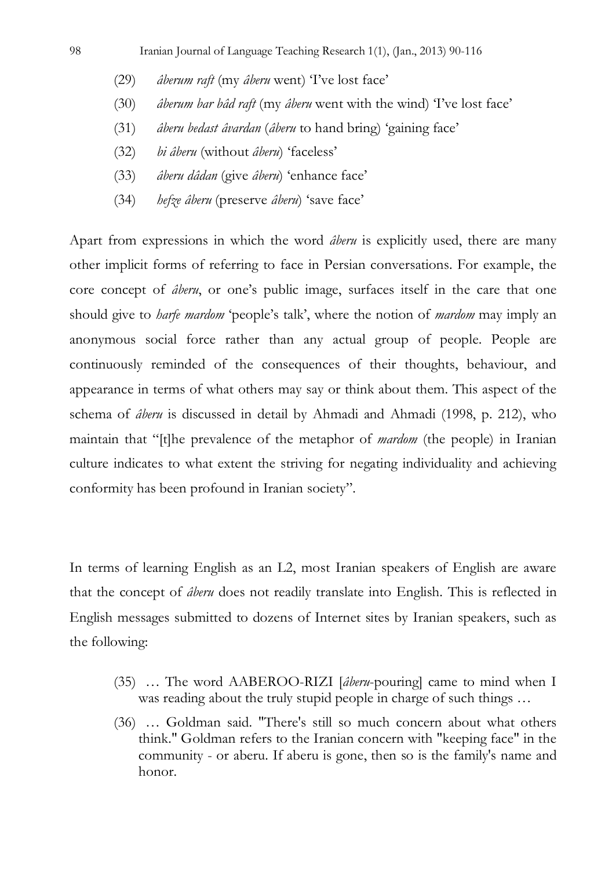- (29) *âberum raft* (my *âberu* went) 'I've lost face'
- (30) *âberum bar bâd raft* (my *âberu* went with the wind) 'I've lost face'
- (31) *âberu bedast âvardan* (*âberu* to hand bring) 'gaining face'
- (32) *bi âberu* (without *âberu*) 'faceless'
- (33) *âberu dâdan* (give *âberu*) 'enhance face'
- (34) *hefze âberu* (preserve *âberu*) 'save face'

Apart from expressions in which the word *âberu* is explicitly used, there are many other implicit forms of referring to face in Persian conversations. For example, the core concept of *âberu*, or one's public image, surfaces itself in the care that one should give to *harfe mardom* 'people's talk', where the notion of *mardom* may imply an anonymous social force rather than any actual group of people. People are continuously reminded of the consequences of their thoughts, behaviour, and appearance in terms of what others may say or think about them. This aspect of the schema of *âberu* is discussed in detail by Ahmadi and Ahmadi (1998, p. 212), who maintain that "[t]he prevalence of the metaphor of *mardom* (the people) in Iranian culture indicates to what extent the striving for negating individuality and achieving conformity has been profound in Iranian society".

In terms of learning English as an L2, most Iranian speakers of English are aware that the concept of *âberu* does not readily translate into English. This is reflected in English messages submitted to dozens of Internet sites by Iranian speakers, such as the following:

- (35) … The word AABEROO-RIZI [*âberu*-pouring] came to mind when I was reading about the truly stupid people in charge of such things …
- (36) … Goldman said. "There's still so much concern about what others think." Goldman refers to the Iranian concern with "keeping face" in the community - or aberu. If aberu is gone, then so is the family's name and honor.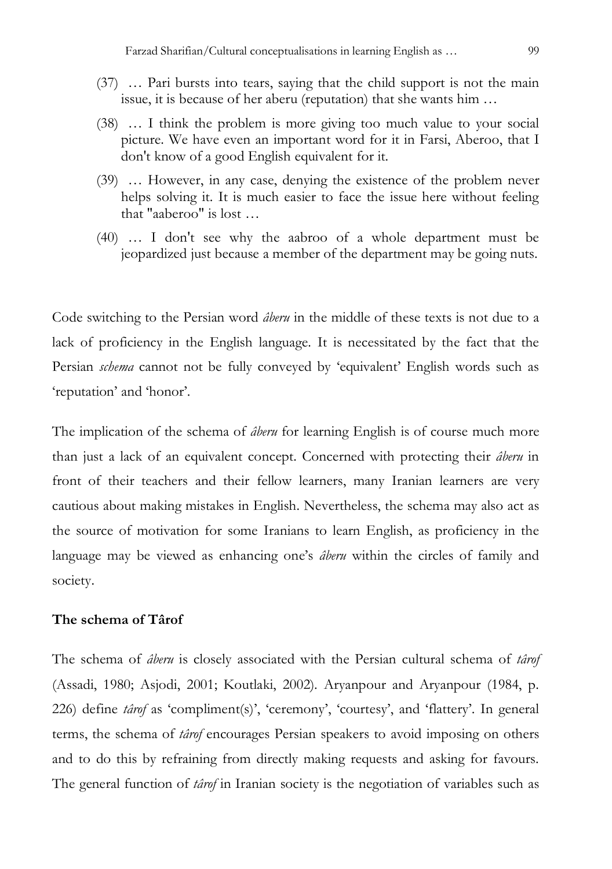- (37) … Pari bursts into tears, saying that the child support is not the main issue, it is because of her aberu (reputation) that she wants him …
- (38) … I think the problem is more giving too much value to your social picture. We have even an important word for it in Farsi, Aberoo, that I don't know of a good English equivalent for it.
- (39) … However, in any case, denying the existence of the problem never helps solving it. It is much easier to face the issue here without feeling that "aaberoo" is lost …
- (40) … I don't see why the aabroo of a whole department must be jeopardized just because a member of the department may be going nuts.

Code switching to the Persian word *âberu* in the middle of these texts is not due to a lack of proficiency in the English language. It is necessitated by the fact that the Persian *schema* cannot not be fully conveyed by 'equivalent' English words such as 'reputation' and 'honor'.

The implication of the schema of *âberu* for learning English is of course much more than just a lack of an equivalent concept. Concerned with protecting their *âberu* in front of their teachers and their fellow learners, many Iranian learners are very cautious about making mistakes in English. Nevertheless, the schema may also act as the source of motivation for some Iranians to learn English, as proficiency in the language may be viewed as enhancing one's *âberu* within the circles of family and society.

## **The schema of Târof**

The schema of *âberu* is closely associated with the Persian cultural schema of *târof* (Assadi, 1980; Asjodi, 2001; Koutlaki, 2002)*.* Aryanpour and Aryanpour (1984, p. 226) define *târof* as 'compliment(s)', 'ceremony', 'courtesy', and 'flattery'. In general terms, the schema of *târof* encourages Persian speakers to avoid imposing on others and to do this by refraining from directly making requests and asking for favours. The general function of *târof* in Iranian society is the negotiation of variables such as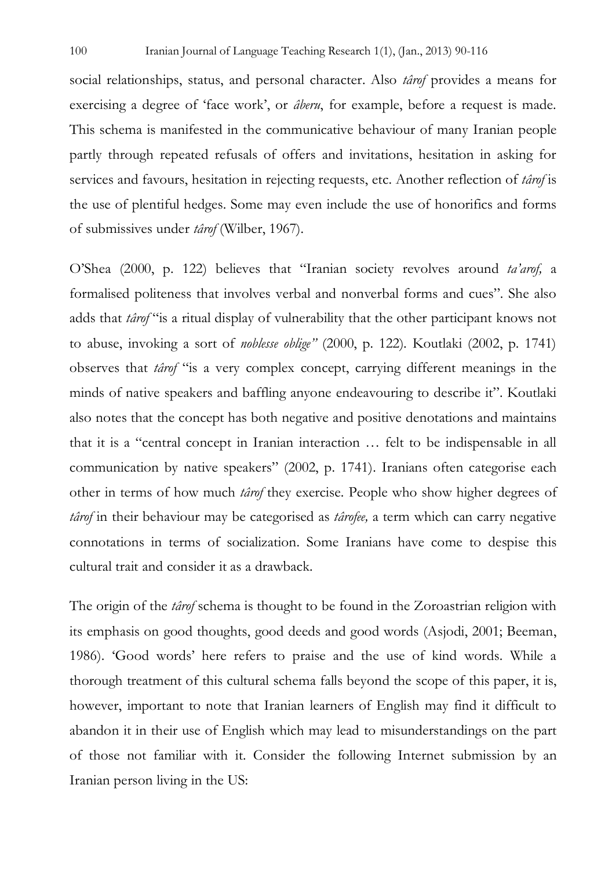social relationships, status, and personal character. Also *târof* provides a means for exercising a degree of 'face work', or *âberu*, for example, before a request is made. This schema is manifested in the communicative behaviour of many Iranian people partly through repeated refusals of offers and invitations, hesitation in asking for services and favours, hesitation in rejecting requests, etc. Another reflection of *târof* is the use of plentiful hedges. Some may even include the use of honorifics and forms of submissives under *târof* (Wilber, 1967).

O'Shea (2000, p. 122) believes that "Iranian society revolves around *ta'arof,* a formalised politeness that involves verbal and nonverbal forms and cues". She also adds that *târof* "is a ritual display of vulnerability that the other participant knows not to abuse, invoking a sort of *noblesse oblige"* (2000, p. 122)*.* Koutlaki (2002, p. 1741) observes that *târof* "is a very complex concept, carrying different meanings in the minds of native speakers and baffling anyone endeavouring to describe it". Koutlaki also notes that the concept has both negative and positive denotations and maintains that it is a "central concept in Iranian interaction … felt to be indispensable in all communication by native speakers" (2002, p. 1741). Iranians often categorise each other in terms of how much *târof* they exercise. People who show higher degrees of *târof* in their behaviour may be categorised as *târofee,* a term which can carry negative connotations in terms of socialization. Some Iranians have come to despise this cultural trait and consider it as a drawback.

The origin of the *târof* schema is thought to be found in the Zoroastrian religion with its emphasis on good thoughts, good deeds and good words (Asjodi, 2001; Beeman, 1986). 'Good words' here refers to praise and the use of kind words. While a thorough treatment of this cultural schema falls beyond the scope of this paper, it is, however, important to note that Iranian learners of English may find it difficult to abandon it in their use of English which may lead to misunderstandings on the part of those not familiar with it. Consider the following Internet submission by an Iranian person living in the US: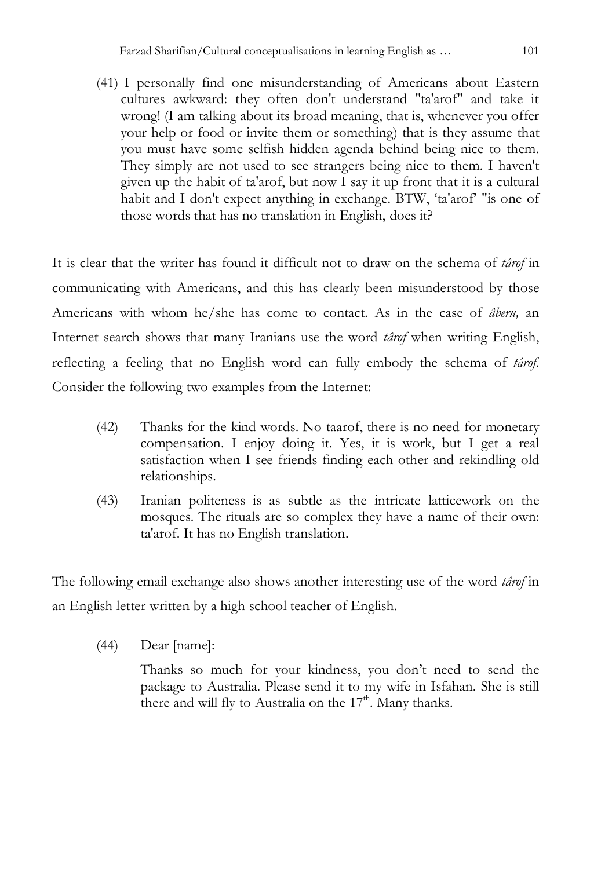(41) I personally find one misunderstanding of Americans about Eastern cultures awkward: they often don't understand "ta'arof" and take it wrong! (I am talking about its broad meaning, that is, whenever you offer your help or food or invite them or something) that is they assume that you must have some selfish hidden agenda behind being nice to them. They simply are not used to see strangers being nice to them. I haven't given up the habit of ta'arof, but now I say it up front that it is a cultural habit and I don't expect anything in exchange. BTW, 'ta'arof' "is one of those words that has no translation in English, does it?

It is clear that the writer has found it difficult not to draw on the schema of *târof* in communicating with Americans, and this has clearly been misunderstood by those Americans with whom he/she has come to contact. As in the case of *âberu,* an Internet search shows that many Iranians use the word *târof* when writing English, reflecting a feeling that no English word can fully embody the schema of *târof*. Consider the following two examples from the Internet:

- (42) Thanks for the kind words. No taarof, there is no need for monetary compensation. I enjoy doing it. Yes, it is work, but I get a real satisfaction when I see friends finding each other and rekindling old relationships.
- (43) Iranian politeness is as subtle as the intricate latticework on the mosques. The rituals are so complex they have a name of their own: ta'arof. It has no English translation.

The following email exchange also shows another interesting use of the word *târof* in an English letter written by a high school teacher of English.

(44) Dear [name]:

Thanks so much for your kindness, you don't need to send the package to Australia. Please send it to my wife in Isfahan. She is still there and will fly to Australia on the  $17<sup>th</sup>$ . Many thanks.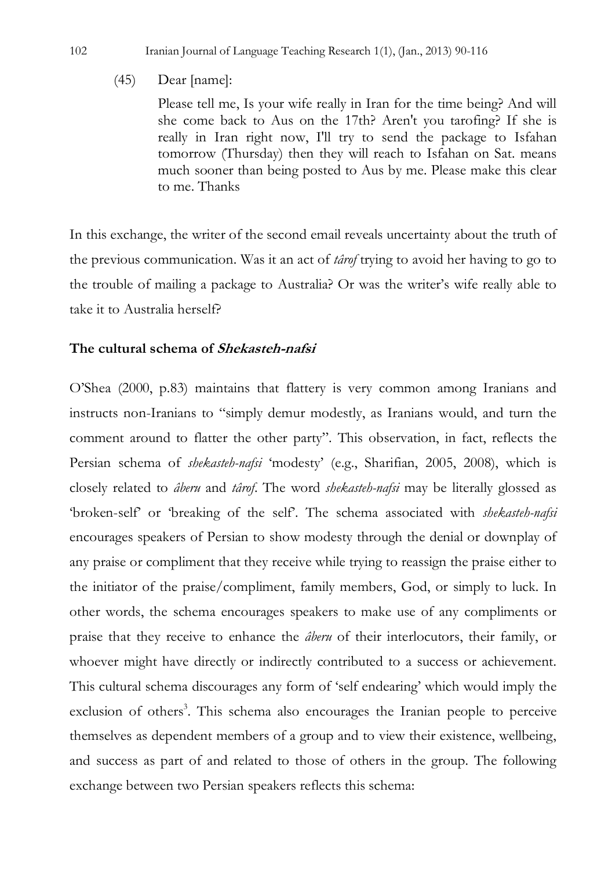# (45) Dear [name]:

Please tell me, Is your wife really in Iran for the time being? And will she come back to Aus on the 17th? Aren't you tarofing? If she is really in Iran right now, I'll try to send the package to Isfahan tomorrow (Thursday) then they will reach to Isfahan on Sat. means much sooner than being posted to Aus by me. Please make this clear to me. Thanks

In this exchange, the writer of the second email reveals uncertainty about the truth of the previous communication. Was it an act of *târof* trying to avoid her having to go to the trouble of mailing a package to Australia? Or was the writer's wife really able to take it to Australia herself?

# **The cultural schema of Shekasteh-nafsi**

O'Shea (2000, p.83) maintains that flattery is very common among Iranians and instructs non-Iranians to "simply demur modestly, as Iranians would, and turn the comment around to flatter the other party". This observation, in fact, reflects the Persian schema of *shekasteh-nafsi* 'modesty' (e.g., Sharifian, 2005, 2008), which is closely related to *âberu* and *târof*. The word *shekasteh-nafsi* may be literally glossed as 'broken-self' or 'breaking of the self'. The schema associated with *shekasteh-nafsi* encourages speakers of Persian to show modesty through the denial or downplay of any praise or compliment that they receive while trying to reassign the praise either to the initiator of the praise/compliment, family members, God, or simply to luck. In other words, the schema encourages speakers to make use of any compliments or praise that they receive to enhance the *âberu* of their interlocutors, their family, or whoever might have directly or indirectly contributed to a success or achievement. This cultural schema discourages any form of 'self endearing' which would imply the exclusion of others<sup>3</sup>. This schema also encourages the Iranian people to perceive themselves as dependent members of a group and to view their existence, wellbeing, and success as part of and related to those of others in the group. The following exchange between two Persian speakers reflects this schema: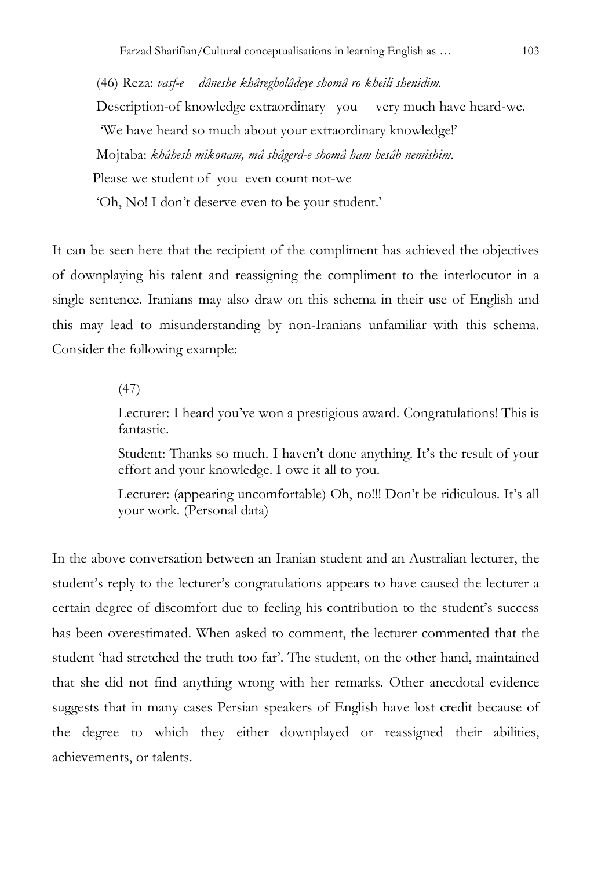(46) Reza: *vasf-e dâneshe khâregholâdeye shomâ ro kheili shenidim.* Description-of knowledge extraordinary you very much have heard-we. 'We have heard so much about your extraordinary knowledge!' Mojtaba: *khâhesh mikonam, mâ shâgerd-e shomâ ham hesâb nemishim*. Please we student of you even count not-we 'Oh, No! I don't deserve even to be your student.'

It can be seen here that the recipient of the compliment has achieved the objectives of downplaying his talent and reassigning the compliment to the interlocutor in a single sentence. Iranians may also draw on this schema in their use of English and this may lead to misunderstanding by non-Iranians unfamiliar with this schema. Consider the following example:

#### (47)

Lecturer: I heard you've won a prestigious award. Congratulations! This is fantastic.

Student: Thanks so much. I haven't done anything. It's the result of your effort and your knowledge. I owe it all to you.

Lecturer: (appearing uncomfortable) Oh, no!!! Don't be ridiculous. It's all your work. (Personal data)

In the above conversation between an Iranian student and an Australian lecturer, the student's reply to the lecturer's congratulations appears to have caused the lecturer a certain degree of discomfort due to feeling his contribution to the student's success has been overestimated. When asked to comment, the lecturer commented that the student 'had stretched the truth too far'. The student, on the other hand, maintained that she did not find anything wrong with her remarks. Other anecdotal evidence suggests that in many cases Persian speakers of English have lost credit because of the degree to which they either downplayed or reassigned their abilities, achievements, or talents.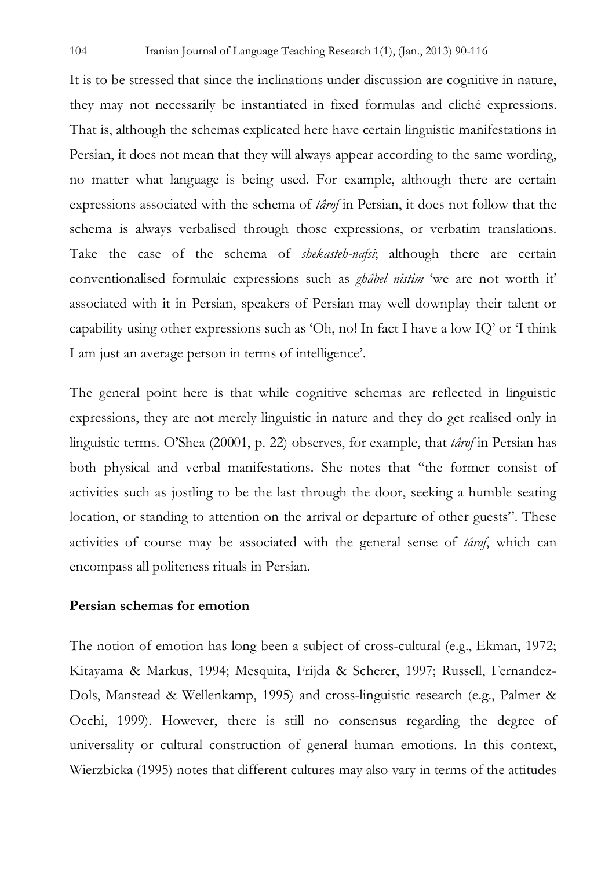It is to be stressed that since the inclinations under discussion are cognitive in nature, they may not necessarily be instantiated in fixed formulas and cliché expressions. That is, although the schemas explicated here have certain linguistic manifestations in Persian, it does not mean that they will always appear according to the same wording, no matter what language is being used. For example, although there are certain expressions associated with the schema of *târof* in Persian, it does not follow that the schema is always verbalised through those expressions, or verbatim translations. Take the case of the schema of *shekasteh-nafsi*; although there are certain conventionalised formulaic expressions such as *ghâbel nistim* 'we are not worth it' associated with it in Persian, speakers of Persian may well downplay their talent or capability using other expressions such as 'Oh, no! In fact I have a low IQ' or 'I think I am just an average person in terms of intelligence'.

The general point here is that while cognitive schemas are reflected in linguistic expressions, they are not merely linguistic in nature and they do get realised only in linguistic terms. O'Shea (20001, p. 22) observes, for example, that *târof* in Persian has both physical and verbal manifestations. She notes that "the former consist of activities such as jostling to be the last through the door, seeking a humble seating location, or standing to attention on the arrival or departure of other guests". These activities of course may be associated with the general sense of *târof*, which can encompass all politeness rituals in Persian.

# **Persian schemas for emotion**

The notion of emotion has long been a subject of cross-cultural (e.g., Ekman, 1972; Kitayama & Markus, 1994; Mesquita, Frijda & Scherer, 1997; Russell, Fernandez-Dols, Manstead & Wellenkamp, 1995) and cross-linguistic research (e.g., Palmer & Occhi, 1999). However, there is still no consensus regarding the degree of universality or cultural construction of general human emotions. In this context, Wierzbicka (1995) notes that different cultures may also vary in terms of the attitudes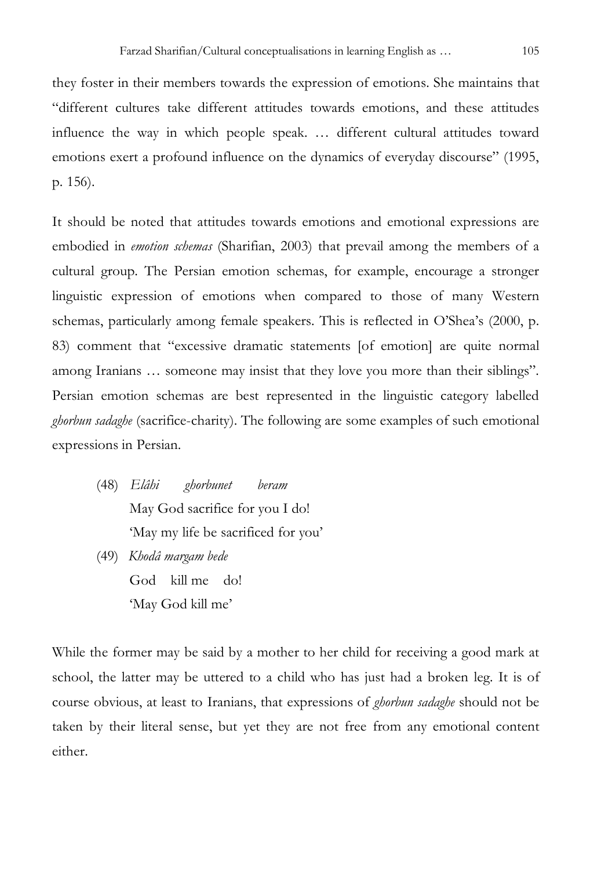they foster in their members towards the expression of emotions. She maintains that "different cultures take different attitudes towards emotions, and these attitudes influence the way in which people speak. … different cultural attitudes toward emotions exert a profound influence on the dynamics of everyday discourse" (1995, p. 156).

It should be noted that attitudes towards emotions and emotional expressions are embodied in *emotion schemas* (Sharifian, 2003) that prevail among the members of a cultural group. The Persian emotion schemas, for example, encourage a stronger linguistic expression of emotions when compared to those of many Western schemas, particularly among female speakers. This is reflected in O'Shea's (2000, p. 83) comment that "excessive dramatic statements [of emotion] are quite normal among Iranians … someone may insist that they love you more than their siblings". Persian emotion schemas are best represented in the linguistic category labelled *ghorbun sadaghe* (sacrifice-charity). The following are some examples of such emotional expressions in Persian.

- (48) *Elâhi ghorbunet beram*  May God sacrifice for you I do! 'May my life be sacrificed for you'
- (49) *Khodâ margam bede*  God kill me do! 'May God kill me'

While the former may be said by a mother to her child for receiving a good mark at school, the latter may be uttered to a child who has just had a broken leg. It is of course obvious, at least to Iranians, that expressions of *ghorbun sadaghe* should not be taken by their literal sense, but yet they are not free from any emotional content either.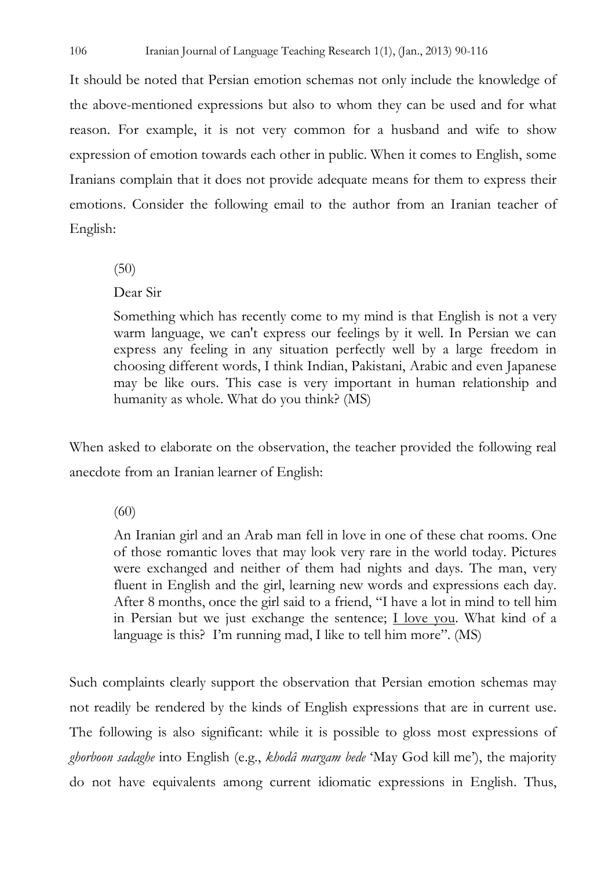It should be noted that Persian emotion schemas not only include the knowledge of the above-mentioned expressions but also to whom they can be used and for what reason. For example, it is not very common for a husband and wife to show expression of emotion towards each other in public. When it comes to English, some Iranians complain that it does not provide adequate means for them to express their emotions. Consider the following email to the author from an Iranian teacher of English:

(50)

Dear Sir

Something which has recently come to my mind is that English is not a very warm language, we can't express our feelings by it well. In Persian we can express any feeling in any situation perfectly well by a large freedom in choosing different words, I think Indian, Pakistani, Arabic and even Japanese may be like ours. This case is very important in human relationship and humanity as whole. What do you think? (MS)

When asked to elaborate on the observation, the teacher provided the following real anecdote from an Iranian learner of English:

(60)

An Iranian girl and an Arab man fell in love in one of these chat rooms. One of those romantic loves that may look very rare in the world today. Pictures were exchanged and neither of them had nights and days. The man, very fluent in English and the girl, learning new words and expressions each day. After 8 months, once the girl said to a friend, "I have a lot in mind to tell him in Persian but we just exchange the sentence; I love you. What kind of a language is this? I'm running mad, I like to tell him more". (MS)

Such complaints clearly support the observation that Persian emotion schemas may not readily be rendered by the kinds of English expressions that are in current use. The following is also significant: while it is possible to gloss most expressions of *ghorboon sadaghe* into English (e.g., *khodâ margam bede* 'May God kill me'), the majority do not have equivalents among current idiomatic expressions in English. Thus,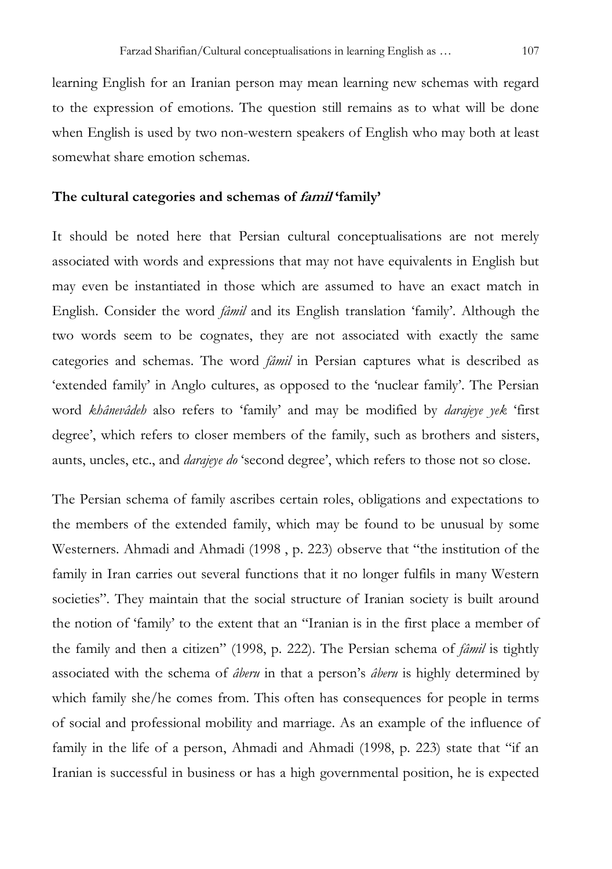learning English for an Iranian person may mean learning new schemas with regard to the expression of emotions. The question still remains as to what will be done when English is used by two non-western speakers of English who may both at least somewhat share emotion schemas.

## **The cultural categories and schemas of famil 'family'**

It should be noted here that Persian cultural conceptualisations are not merely associated with words and expressions that may not have equivalents in English but may even be instantiated in those which are assumed to have an exact match in English. Consider the word *fâmil* and its English translation 'family'. Although the two words seem to be cognates, they are not associated with exactly the same categories and schemas. The word *fâmil* in Persian captures what is described as 'extended family' in Anglo cultures, as opposed to the 'nuclear family'. The Persian word *khânevâdeh* also refers to 'family' and may be modified by *darajeye yek* 'first degree', which refers to closer members of the family, such as brothers and sisters, aunts, uncles, etc., and *darajeye do* 'second degree', which refers to those not so close.

The Persian schema of family ascribes certain roles, obligations and expectations to the members of the extended family, which may be found to be unusual by some Westerners. Ahmadi and Ahmadi (1998 , p. 223) observe that "the institution of the family in Iran carries out several functions that it no longer fulfils in many Western societies". They maintain that the social structure of Iranian society is built around the notion of 'family' to the extent that an "Iranian is in the first place a member of the family and then a citizen" (1998, p. 222). The Persian schema of *fâmil* is tightly associated with the schema of *âberu* in that a person's *âberu* is highly determined by which family she/he comes from. This often has consequences for people in terms of social and professional mobility and marriage. As an example of the influence of family in the life of a person, Ahmadi and Ahmadi (1998, p. 223) state that "if an Iranian is successful in business or has a high governmental position, he is expected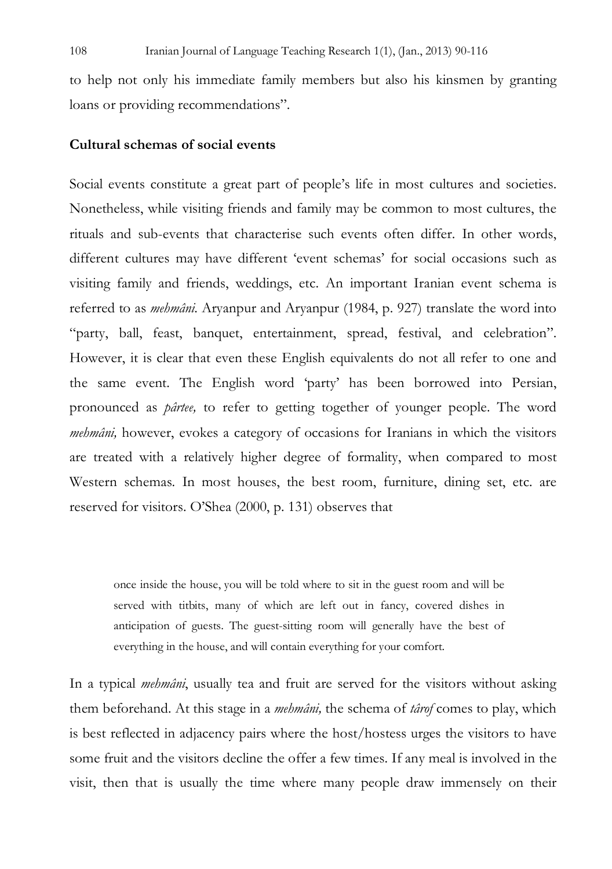to help not only his immediate family members but also his kinsmen by granting loans or providing recommendations".

## **Cultural schemas of social events**

Social events constitute a great part of people's life in most cultures and societies. Nonetheless, while visiting friends and family may be common to most cultures, the rituals and sub-events that characterise such events often differ. In other words, different cultures may have different 'event schemas' for social occasions such as visiting family and friends, weddings, etc. An important Iranian event schema is referred to as *mehmâni*. Aryanpur and Aryanpur (1984, p. 927) translate the word into "party, ball, feast, banquet, entertainment, spread, festival, and celebration". However, it is clear that even these English equivalents do not all refer to one and the same event. The English word 'party' has been borrowed into Persian, pronounced as *pârtee,* to refer to getting together of younger people. The word *mehmâni,* however, evokes a category of occasions for Iranians in which the visitors are treated with a relatively higher degree of formality, when compared to most Western schemas. In most houses, the best room, furniture, dining set, etc. are reserved for visitors. O'Shea (2000, p. 131) observes that

once inside the house, you will be told where to sit in the guest room and will be served with titbits, many of which are left out in fancy, covered dishes in anticipation of guests. The guest-sitting room will generally have the best of everything in the house, and will contain everything for your comfort.

In a typical *mehmâni*, usually tea and fruit are served for the visitors without asking them beforehand. At this stage in a *mehmâni,* the schema of *târof* comes to play, which is best reflected in adjacency pairs where the host/hostess urges the visitors to have some fruit and the visitors decline the offer a few times. If any meal is involved in the visit, then that is usually the time where many people draw immensely on their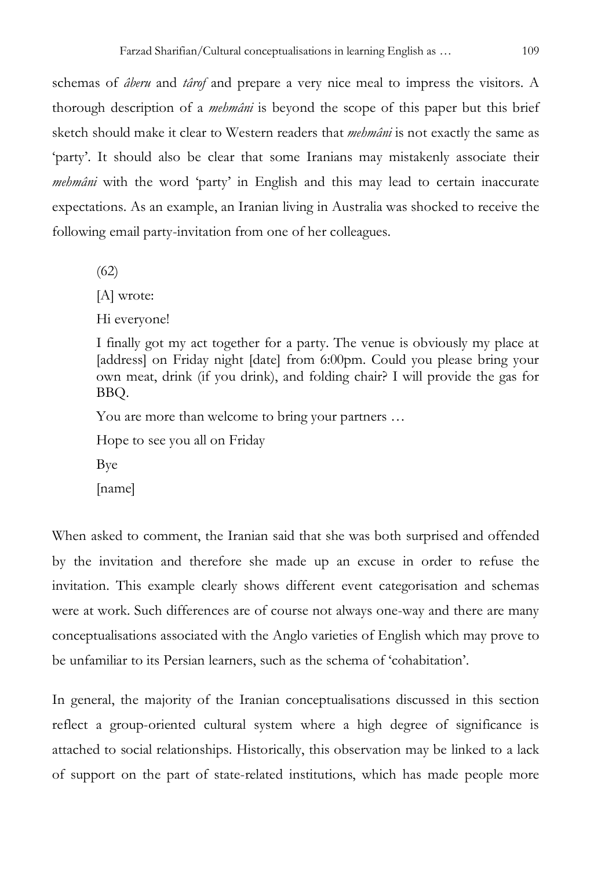schemas of *âberu* and *târof* and prepare a very nice meal to impress the visitors. A thorough description of a *mehmâni* is beyond the scope of this paper but this brief sketch should make it clear to Western readers that *mehmâni* is not exactly the same as 'party'. It should also be clear that some Iranians may mistakenly associate their *mehmâni* with the word 'party' in English and this may lead to certain inaccurate expectations. As an example, an Iranian living in Australia was shocked to receive the following email party-invitation from one of her colleagues.

(62)

[A] wrote:

Hi everyone!

I finally got my act together for a party. The venue is obviously my place at [address] on Friday night [date] from 6:00pm. Could you please bring your own meat, drink (if you drink), and folding chair? I will provide the gas for BBQ.

You are more than welcome to bring your partners …

Hope to see you all on Friday

Bye

[name]

When asked to comment, the Iranian said that she was both surprised and offended by the invitation and therefore she made up an excuse in order to refuse the invitation. This example clearly shows different event categorisation and schemas were at work. Such differences are of course not always one-way and there are many conceptualisations associated with the Anglo varieties of English which may prove to be unfamiliar to its Persian learners, such as the schema of 'cohabitation'.

In general, the majority of the Iranian conceptualisations discussed in this section reflect a group-oriented cultural system where a high degree of significance is attached to social relationships. Historically, this observation may be linked to a lack of support on the part of state-related institutions, which has made people more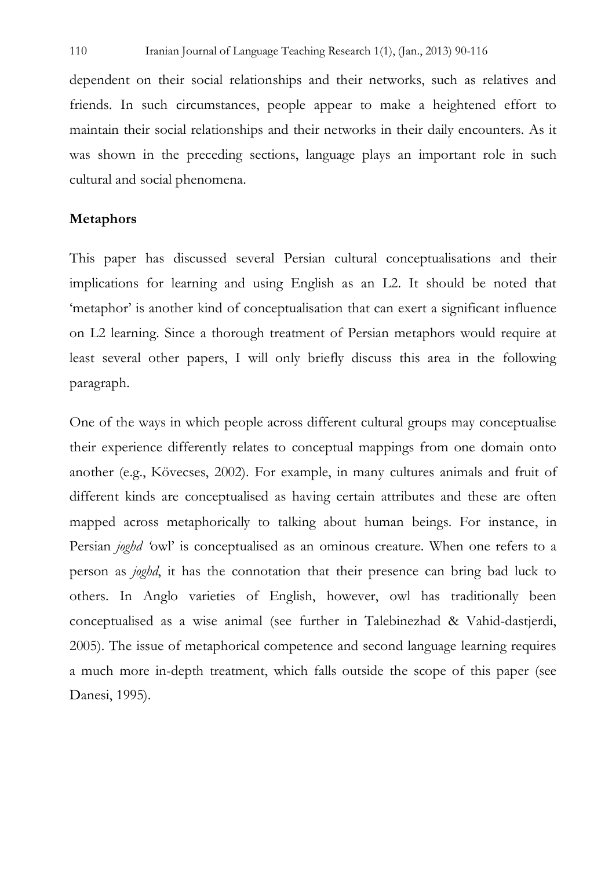dependent on their social relationships and their networks, such as relatives and friends. In such circumstances, people appear to make a heightened effort to maintain their social relationships and their networks in their daily encounters. As it was shown in the preceding sections, language plays an important role in such cultural and social phenomena.

#### **Metaphors**

This paper has discussed several Persian cultural conceptualisations and their implications for learning and using English as an L2. It should be noted that 'metaphor' is another kind of conceptualisation that can exert a significant influence on L2 learning. Since a thorough treatment of Persian metaphors would require at least several other papers, I will only briefly discuss this area in the following paragraph.

One of the ways in which people across different cultural groups may conceptualise their experience differently relates to conceptual mappings from one domain onto another (e.g., Kövecses, 2002). For example, in many cultures animals and fruit of different kinds are conceptualised as having certain attributes and these are often mapped across metaphorically to talking about human beings. For instance, in Persian *joghd '*owl' is conceptualised as an ominous creature. When one refers to a person as *joghd*, it has the connotation that their presence can bring bad luck to others. In Anglo varieties of English, however, owl has traditionally been conceptualised as a wise animal (see further in Talebinezhad & Vahid-dastjerdi, 2005). The issue of metaphorical competence and second language learning requires a much more in-depth treatment, which falls outside the scope of this paper (see Danesi, 1995).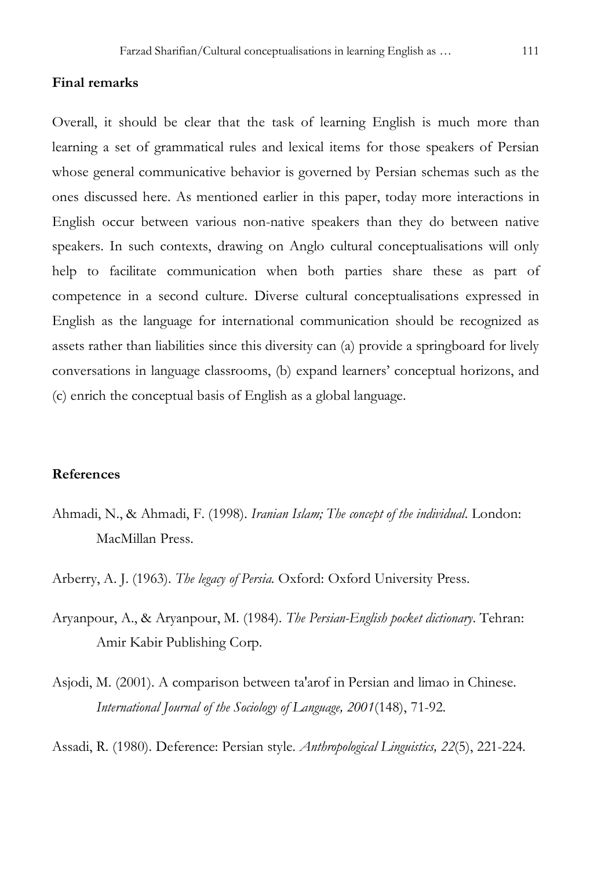#### **Final remarks**

Overall, it should be clear that the task of learning English is much more than learning a set of grammatical rules and lexical items for those speakers of Persian whose general communicative behavior is governed by Persian schemas such as the ones discussed here. As mentioned earlier in this paper, today more interactions in English occur between various non-native speakers than they do between native speakers. In such contexts, drawing on Anglo cultural conceptualisations will only help to facilitate communication when both parties share these as part of competence in a second culture. Diverse cultural conceptualisations expressed in English as the language for international communication should be recognized as assets rather than liabilities since this diversity can (a) provide a springboard for lively conversations in language classrooms, (b) expand learners' conceptual horizons, and (c) enrich the conceptual basis of English as a global language.

# **References**

Ahmadi, N., & Ahmadi, F. (1998). *Iranian Islam; The concept of the individual*. London: MacMillan Press.

Arberry, A. J. (1963). *The legacy of Persia*. Oxford: Oxford University Press.

- Aryanpour, A., & Aryanpour, M. (1984). *The Persian-English pocket dictionary*. Tehran: Amir Kabir Publishing Corp.
- Asjodi, M. (2001). A comparison between ta'arof in Persian and limao in Chinese. *International Journal of the Sociology of Language, 2001*(148), 71-92.

Assadi, R. (1980). Deference: Persian style. *Anthropological Linguistics, 22*(5), 221-224.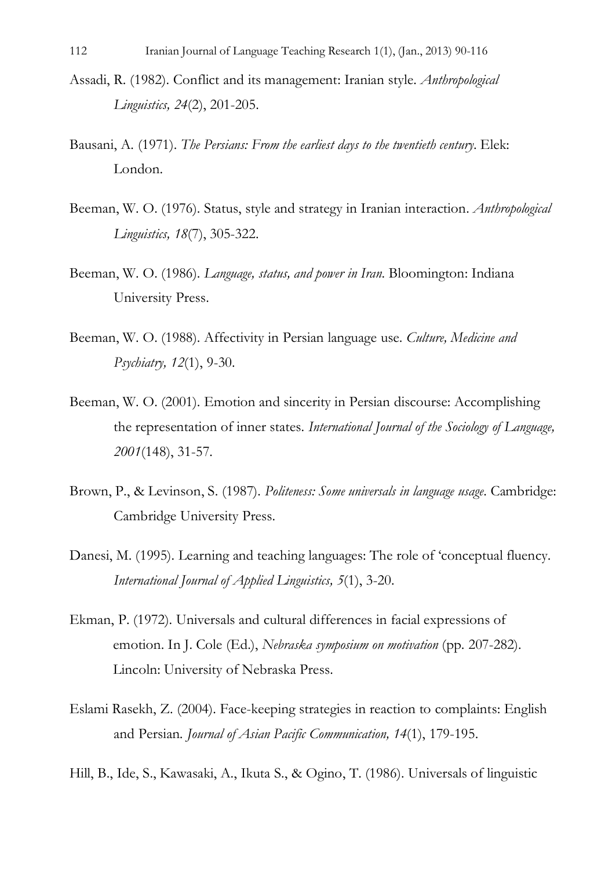- Assadi, R. (1982). Conflict and its management: Iranian style. *Anthropological Linguistics, 24*(2), 201-205.
- Bausani, A. (1971). *The Persians: From the earliest days to the twentieth century*. Elek: London.
- Beeman, W. O. (1976). Status, style and strategy in Iranian interaction. *Anthropological Linguistics, 18*(7), 305-322.
- Beeman, W. O. (1986). *Language, status, and power in Iran*. Bloomington: Indiana University Press.
- Beeman, W. O. (1988). Affectivity in Persian language use. *Culture, Medicine and Psychiatry, 12*(1), 9-30.
- Beeman, W. O. (2001). Emotion and sincerity in Persian discourse: Accomplishing the representation of inner states. *International Journal of the Sociology of Language, 2001*(148), 31-57.
- Brown, P., & Levinson, S. (1987). *Politeness: Some universals in language usage*. Cambridge: Cambridge University Press.
- Danesi, M. (1995). Learning and teaching languages: The role of 'conceptual fluency. *International Journal of Applied Linguistics, 5*(1), 3-20.
- Ekman, P. (1972). Universals and cultural differences in facial expressions of emotion. In J. Cole (Ed.), *Nebraska symposium on motivation* (pp. 207-282). Lincoln: University of Nebraska Press.
- Eslami Rasekh, Z. (2004). Face-keeping strategies in reaction to complaints: English and Persian*. Journal of Asian Pacific Communication, 14*(1), 179-195.
- Hill, B., Ide, S., Kawasaki, A., Ikuta S., & Ogino, T. (1986). Universals of linguistic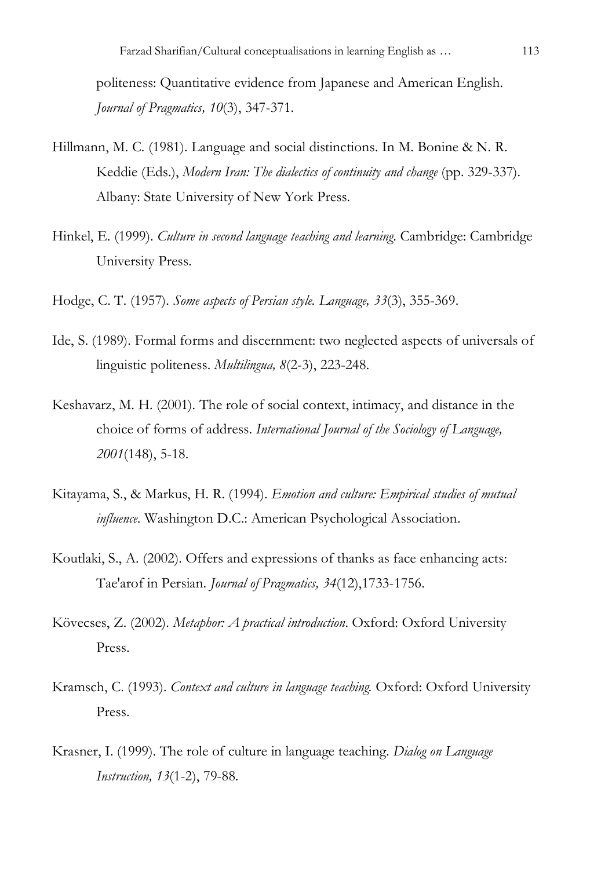politeness: Quantitative evidence from Japanese and American English. *Journal of Pragmatics, 10*(3), 347-371.

- Hillmann, M. C. (1981). Language and social distinctions. In M. Bonine & N. R. Keddie (Eds.), *Modern Iran: The dialectics of continuity and change* (pp. 329-337). Albany: State University of New York Press.
- Hinkel, E. (1999). *Culture in second language teaching and learning*. Cambridge: Cambridge University Press.
- Hodge, C. T. (1957). *Some aspects of Persian style. Language, 33*(3), 355-369.
- Ide, S. (1989). Formal forms and discernment: two neglected aspects of universals of linguistic politeness. *Multilingua, 8*(2-3), 223-248.
- Keshavarz, M. H. (2001). The role of social context, intimacy, and distance in the choice of forms of address. *International Journal of the Sociology of Language, 2001*(148), 5-18.
- Kitayama, S., & Markus, H. R. (1994). *Emotion and culture: Empirical studies of mutual influence.* Washington D.C.: American Psychological Association.
- Koutlaki, S., A. (2002). Offers and expressions of thanks as face enhancing acts: Tae'arof in Persian. *Journal of Pragmatics, 34*(12),1733-1756.
- Kövecses, Z. (2002). *Metaphor: A practical introduction*. Oxford: Oxford University Press.
- Kramsch, C. (1993). *Context and culture in language teaching.* Oxford: Oxford University Press.
- Krasner, I. (1999). The role of culture in language teaching. *Dialog on Language Instruction, 13*(1-2), 79-88.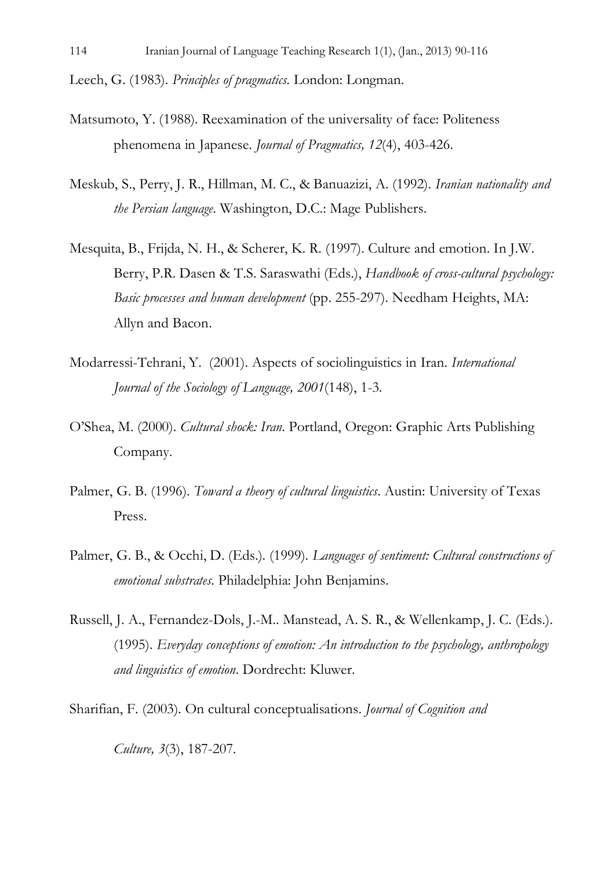Leech, G. (1983). *Principles of pragmatics.* London: Longman.

- Matsumoto, Y. (1988). Reexamination of the universality of face: Politeness phenomena in Japanese. *Journal of Pragmatics, 12*(4), 403-426.
- Meskub, S., Perry, J. R., Hillman, M. C., & Banuazizi, A. (1992). *Iranian nationality and the Persian language*. Washington, D.C.: Mage Publishers.
- Mesquita, B., Frijda, N. H., & Scherer, K. R. (1997). Culture and emotion. In J.W. Berry, P.R. Dasen & T.S. Saraswathi (Eds.), *Handbook of cross-cultural psychology: Basic processes and human development* (pp. 255-297). Needham Heights, MA: Allyn and Bacon.
- Modarressi-Tehrani, Y. (2001). Aspects of sociolinguistics in Iran. *International Journal of the Sociology of Language, 2001*(148), 1-3.
- O'Shea, M. (2000). *Cultural shock: Iran*. Portland, Oregon: Graphic Arts Publishing Company.
- Palmer, G. B. (1996). *Toward a theory of cultural linguistics*. Austin: University of Texas Press.
- Palmer, G. B., & Occhi, D. (Eds.). (1999). *Languages of sentiment: Cultural constructions of emotional substrates.* Philadelphia: John Benjamins.
- Russell, J. A., Fernandez-Dols, J.-M.. Manstead, A. S. R., & Wellenkamp, J. C. (Eds.). (1995). *Everyday conceptions of emotion: An introduction to the psychology, anthropology and linguistics of emotion*. Dordrecht: Kluwer.

Sharifian, F. (2003). On cultural conceptualisations. *Journal of Cognition and* 

*Culture, 3*(3), 187-207.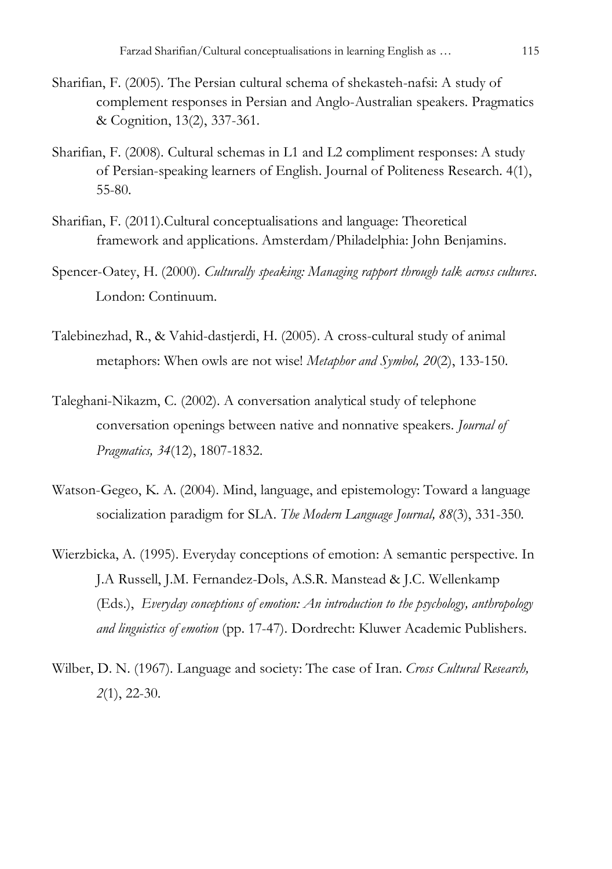- Sharifian, F. (2005). The Persian cultural schema of shekasteh-nafsi: A study of complement responses in Persian and Anglo-Australian speakers. Pragmatics & Cognition, 13(2), 337-361.
- Sharifian, F. (2008). Cultural schemas in L1 and L2 compliment responses: A study of Persian-speaking learners of English. Journal of Politeness Research. 4(1), 55-80.
- Sharifian, F. (2011).Cultural conceptualisations and language: Theoretical framework and applications. Amsterdam/Philadelphia: John Benjamins.
- Spencer-Oatey, H. (2000). *Culturally speaking: Managing rapport through talk across cultures*. London: Continuum.
- Talebinezhad, R., & Vahid-dastjerdi, H. (2005). A cross-cultural study of animal metaphors: When owls are not wise! *Metaphor and Symbol, 20*(2), 133-150.
- Taleghani-Nikazm, C. (2002). A conversation analytical study of telephone conversation openings between native and nonnative speakers. *Journal of Pragmatics, 34*(12), 1807-1832.
- Watson-Gegeo, K. A. (2004). Mind, language, and epistemology: Toward a language socialization paradigm for SLA. *The Modern Language Journal, 88*(3), 331-350*.*
- Wierzbicka, A. (1995). Everyday conceptions of emotion: A semantic perspective. In J.A Russell, J.M. Fernandez-Dols, A.S.R. Manstead & J.C. Wellenkamp (Eds.), *Everyday conceptions of emotion: An introduction to the psychology, anthropology and linguistics of emotion* (pp. 17-47). Dordrecht: Kluwer Academic Publishers.
- Wilber, D. N. (1967). Language and society: The case of Iran. *Cross Cultural Research, 2*(1), 22-30.